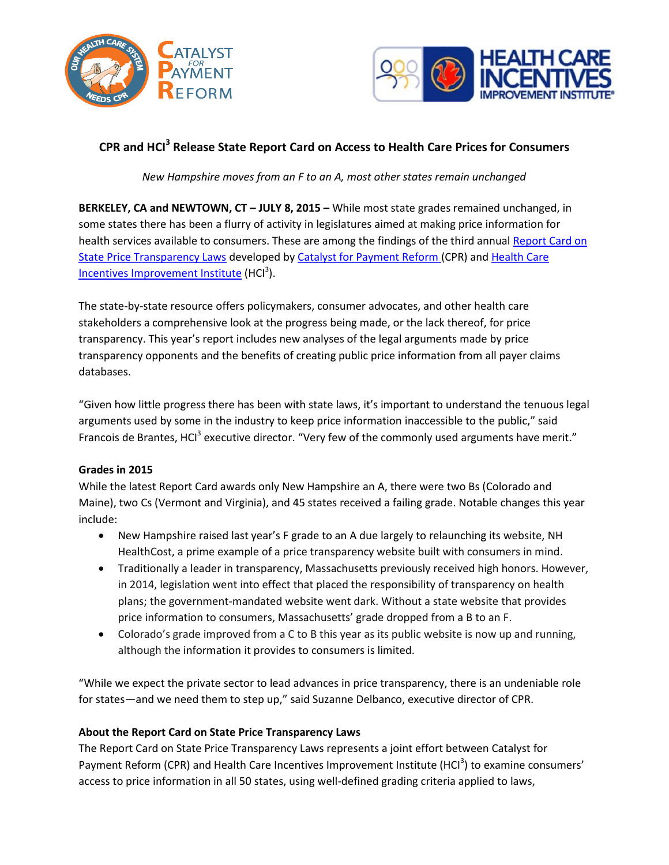



# **CPR and HCI<sup>3</sup> Release State Report Card on Access to Health Care Prices for Consumers**

*New Hampshire moves from an F to an A, most other states remain unchanged*

**BERKELEY, CA and NEWTOWN, CT – JULY 8, 2015 –** While most state grades remained unchanged, in some states there has been a flurry of activity in legislatures aimed at making price information for health services available to consumers. These are among the findings of the third annua[l Report Card on](http://www.hci3.org/content/2015-report-price-transparency-laws)  [State Price Transparency Laws](http://www.hci3.org/content/2015-report-price-transparency-laws) developed b[y Catalyst for Payment Reform](http://www.catalyzepaymentreform.org/) (CPR) and Health Care [Incentives Improvement Institute](http://www.hci3.org/) (HCl<sup>3</sup>).

The state-by-state resource offers policymakers, consumer advocates, and other health care stakeholders a comprehensive look at the progress being made, or the lack thereof, for price transparency. This year's report includes new analyses of the legal arguments made by price transparency opponents and the benefits of creating public price information from all payer claims databases.

"Given how little progress there has been with state laws, it's important to understand the tenuous legal arguments used by some in the industry to keep price information inaccessible to the public," said Francois de Brantes, HCI<sup>3</sup> executive director. "Very few of the commonly used arguments have merit."

## **Grades in 2015**

While the latest Report Card awards only New Hampshire an A, there were two Bs (Colorado and Maine), two Cs (Vermont and Virginia), and 45 states received a failing grade. Notable changes this year include:

- New Hampshire raised last year's F grade to an A due largely to relaunching its website, NH HealthCost, a prime example of a price transparency website built with consumers in mind.
- Traditionally a leader in transparency, Massachusetts previously received high honors. However, in 2014, legislation went into effect that placed the responsibility of transparency on health plans; the government-mandated website went dark. Without a state website that provides price information to consumers, Massachusetts' grade dropped from a B to an F.
- Colorado's grade improved from a C to B this year as its public website is now up and running, although the information it provides to consumers is limited.

"While we expect the private sector to lead advances in price transparency, there is an undeniable role for states—and we need them to step up," said Suzanne Delbanco, executive director of CPR.

## **About the Report Card on State Price Transparency Laws**

The Report Card on State Price Transparency Laws represents a joint effort between Catalyst for Payment Reform (CPR) and Health Care Incentives Improvement Institute (HCI<sup>3</sup>) to examine consumers' access to price information in all 50 states, using well-defined grading criteria applied to laws,